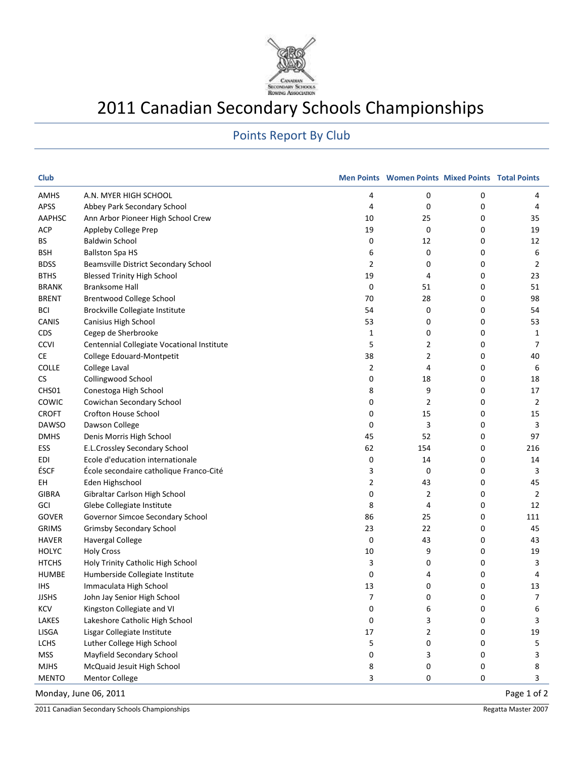

## 2011 Canadian Secondary Schools Championships

## Points Report By Club

| <b>Club</b>   |                                            |    | <b>Men Points Women Points Mixed Points Total Points</b> |   |             |
|---------------|--------------------------------------------|----|----------------------------------------------------------|---|-------------|
| AMHS          | A.N. MYER HIGH SCHOOL                      | 4  | 0                                                        | 0 | 4           |
| APSS          | Abbey Park Secondary School                | 4  | 0                                                        | 0 | 4           |
| <b>AAPHSC</b> | Ann Arbor Pioneer High School Crew         | 10 | 25                                                       | 0 | 35          |
| <b>ACP</b>    | Appleby College Prep                       | 19 | 0                                                        | 0 | 19          |
| BS            | <b>Baldwin School</b>                      | 0  | 12                                                       | 0 | 12          |
| <b>BSH</b>    | <b>Ballston Spa HS</b>                     | 6  | 0                                                        | 0 | 6           |
| <b>BDSS</b>   | Beamsville District Secondary School       | 2  | 0                                                        | 0 | 2           |
| <b>BTHS</b>   | <b>Blessed Trinity High School</b>         | 19 | 4                                                        | 0 | 23          |
| <b>BRANK</b>  | <b>Branksome Hall</b>                      | 0  | 51                                                       | 0 | 51          |
| <b>BRENT</b>  | Brentwood College School                   | 70 | 28                                                       | 0 | 98          |
| <b>BCI</b>    | Brockville Collegiate Institute            | 54 | 0                                                        | 0 | 54          |
| CANIS         | Canisius High School                       | 53 | 0                                                        | 0 | 53          |
| CDS           | Cegep de Sherbrooke                        | 1  | 0                                                        | 0 | 1           |
| <b>CCVI</b>   | Centennial Collegiate Vocational Institute | 5  | 2                                                        | 0 | 7           |
| CE            | College Edouard-Montpetit                  | 38 | 2                                                        | 0 | 40          |
| <b>COLLE</b>  | College Laval                              | 2  | 4                                                        | 0 | 6           |
| CS            | Collingwood School                         | 0  | 18                                                       | 0 | 18          |
| CHS01         | Conestoga High School                      | 8  | 9                                                        | 0 | 17          |
| COWIC         | Cowichan Secondary School                  | 0  | 2                                                        | 0 | 2           |
| <b>CROFT</b>  | Crofton House School                       | 0  | 15                                                       | 0 | 15          |
| <b>DAWSO</b>  | Dawson College                             | 0  | 3                                                        | 0 | 3           |
| <b>DMHS</b>   | Denis Morris High School                   | 45 | 52                                                       | 0 | 97          |
| ESS           | E.L.Crossley Secondary School              | 62 | 154                                                      | 0 | 216         |
| EDI           | Ecole d'education internationale           | 0  | 14                                                       | 0 | 14          |
| ÉSCF          | École secondaire catholique Franco-Cité    | 3  | $\mathbf 0$                                              | 0 | 3           |
| EH            | Eden Highschool                            | 2  | 43                                                       | 0 | 45          |
| <b>GIBRA</b>  | Gibraltar Carlson High School              | 0  | $\overline{2}$                                           | 0 | 2           |
| GCI           | Glebe Collegiate Institute                 | 8  | 4                                                        | 0 | 12          |
| <b>GOVER</b>  | Governor Simcoe Secondary School           | 86 | 25                                                       | 0 | 111         |
| <b>GRIMS</b>  | <b>Grimsby Secondary School</b>            | 23 | 22                                                       | 0 | 45          |
| <b>HAVER</b>  | <b>Havergal College</b>                    | 0  | 43                                                       | 0 | 43          |
| <b>HOLYC</b>  | <b>Holy Cross</b>                          | 10 | 9                                                        | 0 | 19          |
| <b>HTCHS</b>  | Holy Trinity Catholic High School          | 3  | 0                                                        | 0 | 3           |
| <b>HUMBE</b>  | Humberside Collegiate Institute            | 0  | 4                                                        | 0 | 4           |
| <b>IHS</b>    | Immaculata High School                     | 13 | 0                                                        | 0 | 13          |
| <b>JJSHS</b>  | John Jay Senior High School                | 7  | 0                                                        | 0 | 7           |
| <b>KCV</b>    | Kingston Collegiate and VI                 | 0  | 6                                                        | 0 | 6           |
| <b>LAKES</b>  | Lakeshore Catholic High School             | 0  | 3                                                        | 0 | 3           |
| <b>LISGA</b>  | Lisgar Collegiate Institute                | 17 | 2                                                        | 0 | 19          |
| LCHS          | Luther College High School                 | 5  | 0                                                        | 0 | 5           |
| <b>MSS</b>    | Mayfield Secondary School                  | 0  | 3                                                        | 0 | 3           |
| <b>MJHS</b>   | McQuaid Jesuit High School                 | 8  | 0                                                        | 0 | 8           |
| <b>MENTO</b>  | Mentor College                             | 3  | 0                                                        | 0 | 3           |
|               | Monday, June 06, 2011                      |    |                                                          |   | Page 1 of 2 |

2011 Canadian Secondary Schools Championships **Regatta Master 2007 Regatta Master 2007 Regatta Master 2007**